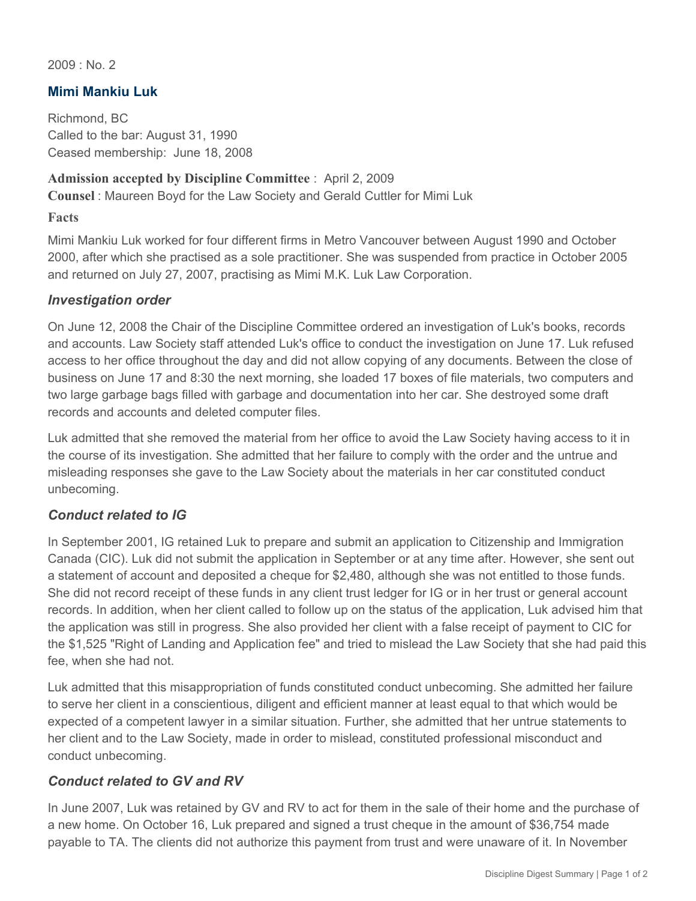2009 : No. 2

## **Mimi Mankiu Luk**

Richmond, BC Called to the bar: August 31, 1990 Ceased membership: June 18, 2008

#### **Admission accepted by Discipline Committee** : April 2, 2009

**Counsel** : Maureen Boyd for the Law Society and Gerald Cuttler for Mimi Luk

#### **Facts**

Mimi Mankiu Luk worked for four different firms in Metro Vancouver between August 1990 and October 2000, after which she practised as a sole practitioner. She was suspended from practice in October 2005 and returned on July 27, 2007, practising as Mimi M.K. Luk Law Corporation.

### *Investigation order*

On June 12, 2008 the Chair of the Discipline Committee ordered an investigation of Luk's books, records and accounts. Law Society staff attended Luk's office to conduct the investigation on June 17. Luk refused access to her office throughout the day and did not allow copying of any documents. Between the close of business on June 17 and 8:30 the next morning, she loaded 17 boxes of file materials, two computers and two large garbage bags filled with garbage and documentation into her car. She destroyed some draft records and accounts and deleted computer files.

Luk admitted that she removed the material from her office to avoid the Law Society having access to it in the course of its investigation. She admitted that her failure to comply with the order and the untrue and misleading responses she gave to the Law Society about the materials in her car constituted conduct unbecoming.

### *Conduct related to IG*

In September 2001, IG retained Luk to prepare and submit an application to Citizenship and Immigration Canada (CIC). Luk did not submit the application in September or at any time after. However, she sent out a statement of account and deposited a cheque for \$2,480, although she was not entitled to those funds. She did not record receipt of these funds in any client trust ledger for IG or in her trust or general account records. In addition, when her client called to follow up on the status of the application, Luk advised him that the application was still in progress. She also provided her client with a false receipt of payment to CIC for the \$1,525 "Right of Landing and Application fee" and tried to mislead the Law Society that she had paid this fee, when she had not.

Luk admitted that this misappropriation of funds constituted conduct unbecoming. She admitted her failure to serve her client in a conscientious, diligent and efficient manner at least equal to that which would be expected of a competent lawyer in a similar situation. Further, she admitted that her untrue statements to her client and to the Law Society, made in order to mislead, constituted professional misconduct and conduct unbecoming.

### *Conduct related to GV and RV*

In June 2007, Luk was retained by GV and RV to act for them in the sale of their home and the purchase of a new home. On October 16, Luk prepared and signed a trust cheque in the amount of \$36,754 made payable to TA. The clients did not authorize this payment from trust and were unaware of it. In November